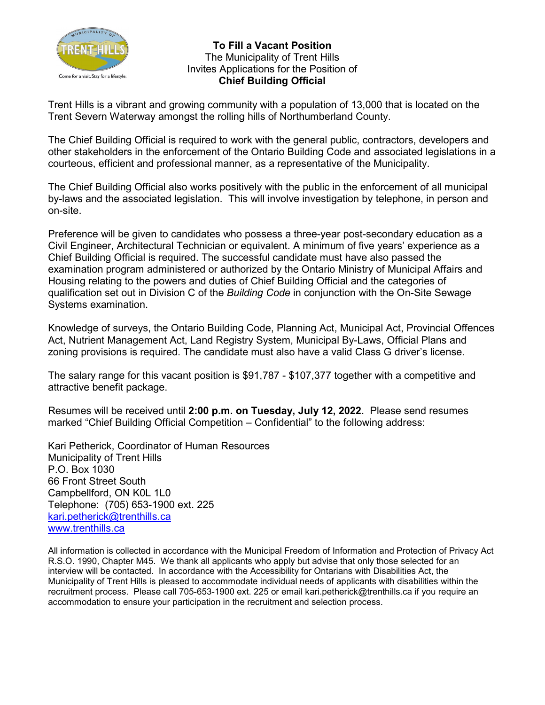

**To Fill a Vacant Position** The Municipality of Trent Hills Invites Applications for the Position of **Chief Building Official**

Trent Hills is a vibrant and growing community with a population of 13,000 that is located on the Trent Severn Waterway amongst the rolling hills of Northumberland County.

The Chief Building Official is required to work with the general public, contractors, developers and other stakeholders in the enforcement of the Ontario Building Code and associated legislations in a courteous, efficient and professional manner, as a representative of the Municipality.

The Chief Building Official also works positively with the public in the enforcement of all municipal by-laws and the associated legislation. This will involve investigation by telephone, in person and on-site.

Preference will be given to candidates who possess a three-year post-secondary education as a Civil Engineer, Architectural Technician or equivalent. A minimum of five years' experience as a Chief Building Official is required. The successful candidate must have also passed the examination program administered or authorized by the Ontario Ministry of Municipal Affairs and Housing relating to the powers and duties of Chief Building Official and the categories of qualification set out in Division C of the *Building Code* in conjunction with the On-Site Sewage Systems examination.

Knowledge of surveys, the Ontario Building Code, Planning Act, Municipal Act, Provincial Offences Act, Nutrient Management Act, Land Registry System, Municipal By-Laws, Official Plans and zoning provisions is required. The candidate must also have a valid Class G driver's license.

The salary range for this vacant position is \$91,787 - \$107,377 together with a competitive and attractive benefit package.

Resumes will be received until **2:00 p.m. on Tuesday, July 12, 2022**. Please send resumes marked "Chief Building Official Competition – Confidential" to the following address:

Kari Petherick, Coordinator of Human Resources Municipality of Trent Hills P.O. Box 1030 66 Front Street South Campbellford, ON K0L 1L0 Telephone: (705) 653-1900 ext. 225 [kari.petherick@trenthills.ca](mailto:kari.petherick@trenthills.ca) [www.trenthills.ca](http://www.trenthills.ca/)

All information is collected in accordance with the Municipal Freedom of Information and Protection of Privacy Act R.S.O. 1990, Chapter M45. We thank all applicants who apply but advise that only those selected for an interview will be contacted. In accordance with the Accessibility for Ontarians with Disabilities Act, the Municipality of Trent Hills is pleased to accommodate individual needs of applicants with disabilities within the recruitment process. Please call 705-653-1900 ext. 225 or email kari.petherick@trenthills.ca if you require an accommodation to ensure your participation in the recruitment and selection process.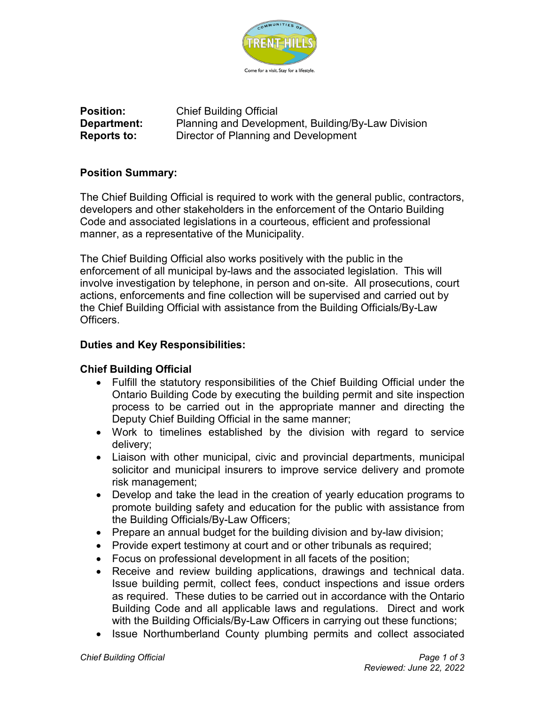

**Position:** Chief Building Official **Department:** Planning and Development, Building/By-Law Division **Reports to:** Director of Planning and Development

# **Position Summary:**

The Chief Building Official is required to work with the general public, contractors, developers and other stakeholders in the enforcement of the Ontario Building Code and associated legislations in a courteous, efficient and professional manner, as a representative of the Municipality.

The Chief Building Official also works positively with the public in the enforcement of all municipal by-laws and the associated legislation. This will involve investigation by telephone, in person and on-site. All prosecutions, court actions, enforcements and fine collection will be supervised and carried out by the Chief Building Official with assistance from the Building Officials/By-Law Officers.

### **Duties and Key Responsibilities:**

#### **Chief Building Official**

- Fulfill the statutory responsibilities of the Chief Building Official under the Ontario Building Code by executing the building permit and site inspection process to be carried out in the appropriate manner and directing the Deputy Chief Building Official in the same manner;
- Work to timelines established by the division with regard to service delivery;
- Liaison with other municipal, civic and provincial departments, municipal solicitor and municipal insurers to improve service delivery and promote risk management;
- Develop and take the lead in the creation of yearly education programs to promote building safety and education for the public with assistance from the Building Officials/By-Law Officers;
- Prepare an annual budget for the building division and by-law division;
- Provide expert testimony at court and or other tribunals as required;
- Focus on professional development in all facets of the position;
- Receive and review building applications, drawings and technical data. Issue building permit, collect fees, conduct inspections and issue orders as required. These duties to be carried out in accordance with the Ontario Building Code and all applicable laws and regulations. Direct and work with the Building Officials/By-Law Officers in carrying out these functions;
- Issue Northumberland County plumbing permits and collect associated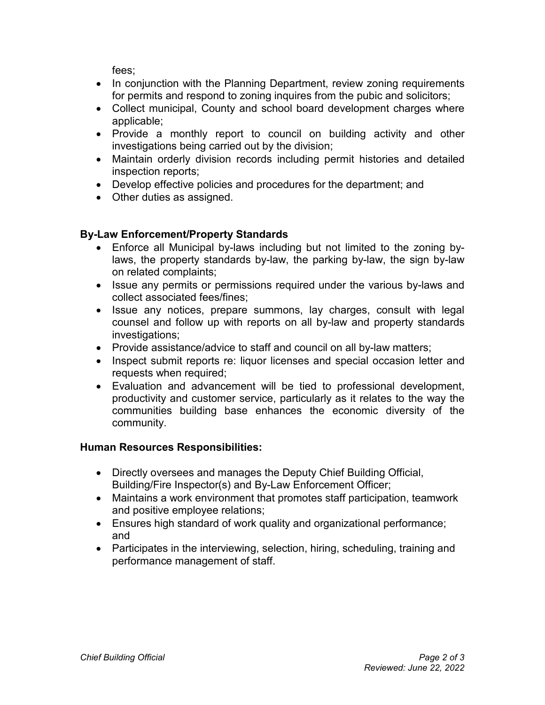fees;

- In conjunction with the Planning Department, review zoning requirements for permits and respond to zoning inquires from the pubic and solicitors;
- Collect municipal, County and school board development charges where applicable;
- Provide a monthly report to council on building activity and other investigations being carried out by the division;
- Maintain orderly division records including permit histories and detailed inspection reports;
- Develop effective policies and procedures for the department; and
- Other duties as assigned.

# **By-Law Enforcement/Property Standards**

- Enforce all Municipal by-laws including but not limited to the zoning bylaws, the property standards by-law, the parking by-law, the sign by-law on related complaints;
- Issue any permits or permissions required under the various by-laws and collect associated fees/fines;
- Issue any notices, prepare summons, lay charges, consult with legal counsel and follow up with reports on all by-law and property standards investigations:
- Provide assistance/advice to staff and council on all by-law matters;
- Inspect submit reports re: liquor licenses and special occasion letter and requests when required;
- Evaluation and advancement will be tied to professional development, productivity and customer service, particularly as it relates to the way the communities building base enhances the economic diversity of the community.

# **Human Resources Responsibilities:**

- Directly oversees and manages the Deputy Chief Building Official, Building/Fire Inspector(s) and By-Law Enforcement Officer;
- Maintains a work environment that promotes staff participation, teamwork and positive employee relations;
- Ensures high standard of work quality and organizational performance; and
- Participates in the interviewing, selection, hiring, scheduling, training and performance management of staff.